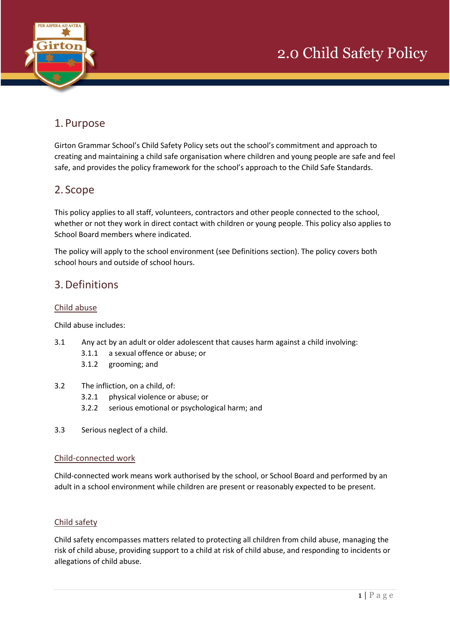

## 1. Purpose

Girton Grammar School's Child Safety Policy sets out the school's commitment and approach to creating and maintaining a child safe organisation where children and young people are safe and feel safe, and provides the policy framework for the school's approach to the Child Safe Standards.

### 2. Scope

This policy applies to all staff, volunteers, contractors and other people connected to the school, whether or not they work in direct contact with children or young people. This policy also applies to School Board members where indicated.

The policy will apply to the school environment (see Definitions section). The policy covers both school hours and outside of school hours.

### 3.Definitions

### Child abuse

Child abuse includes:

- 3.1 Any act by an adult or older adolescent that causes harm against a child involving:
	- 3.1.1 a sexual offence or abuse; or
		- 3.1.2 grooming; and
- 3.2 The infliction, on a child, of:
	- 3.2.1 physical violence or abuse; or
	- 3.2.2 serious emotional or psychological harm; and
- 3.3 Serious neglect of a child.

### Child-connected work

Child-connected work means work authorised by the school, or School Board and performed by an adult in a school environment while children are present or reasonably expected to be present.

### Child safety

Child safety encompasses matters related to protecting all children from child abuse, managing the risk of child abuse, providing support to a child at risk of child abuse, and responding to incidents or allegations of child abuse.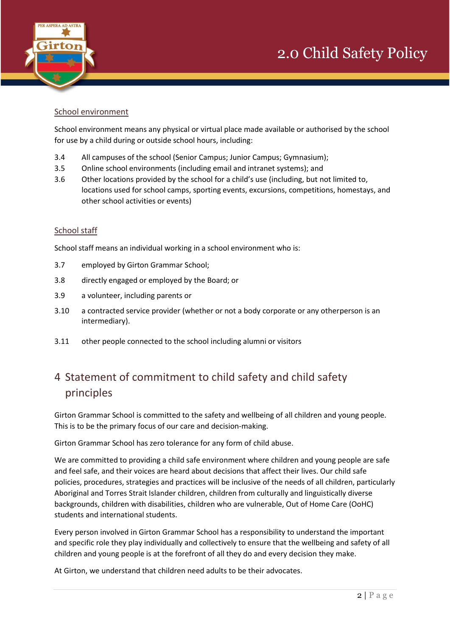



#### School environment

School environment means any physical or virtual place made available or authorised by the school for use by a child during or outside school hours, including:

- 3.4 All campuses of the school (Senior Campus; Junior Campus; Gymnasium);
- 3.5 Online school environments (including email and intranet systems); and
- 3.6 Other locations provided by the school for a child's use (including, but not limited to, locations used for school camps, sporting events, excursions, competitions, homestays, and other school activities or events)

#### School staff

School staff means an individual working in a school environment who is:

- 3.7 employed by Girton Grammar School;
- 3.8 directly engaged or employed by the Board; or
- 3.9 a volunteer, including parents or
- 3.10 a contracted service provider (whether or not a body corporate or any otherperson is an intermediary).
- 3.11 other people connected to the school including alumni or visitors

# 4 Statement of commitment to child safety and child safety principles

Girton Grammar School is committed to the safety and wellbeing of all children and young people. This is to be the primary focus of our care and decision-making.

Girton Grammar School has zero tolerance for any form of child abuse.

We are committed to providing a child safe environment where children and young people are safe and feel safe, and their voices are heard about decisions that affect their lives. Our child safe policies, procedures, strategies and practices will be inclusive of the needs of all children, particularly Aboriginal and Torres Strait Islander children, children from culturally and linguistically diverse backgrounds, children with disabilities, children who are vulnerable, Out of Home Care (OoHC) students and international students.

Every person involved in Girton Grammar School has a responsibility to understand the important and specific role they play individually and collectively to ensure that the wellbeing and safety of all children and young people is at the forefront of all they do and every decision they make.

At Girton, we understand that children need adults to be their advocates.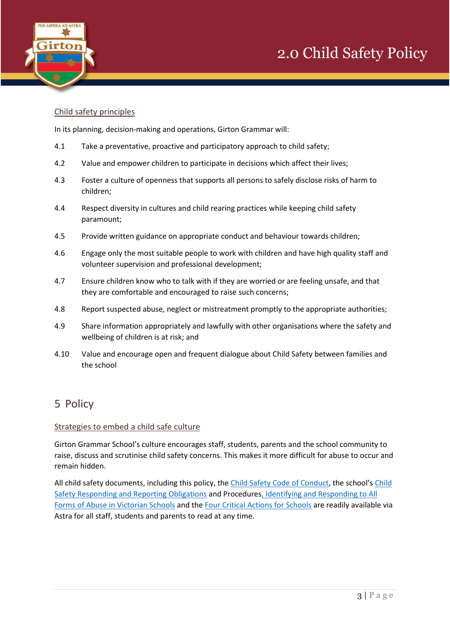



### Child safety principles

In its planning, decision-making and operations, Girton Grammar will:

- 4.1 Take a preventative, proactive and participatory approach to child safety;
- 4.2 Value and empower children to participate in decisions which affect their lives;
- 4.3 Foster a culture of openness that supports all persons to safely disclose risks of harm to children;
- 4.4 Respect diversity in cultures and child rearing practices while keeping child safety paramount;
- 4.5 Provide written guidance on appropriate conduct and behaviour towards children;
- 4.6 Engage only the most suitable people to work with children and have high quality staff and volunteer supervision and professional development;
- 4.7 Ensure children know who to talk with if they are worried or are feeling unsafe, and that they are comfortable and encouraged to raise such concerns;
- 4.8 Report suspected abuse, neglect or mistreatment promptly to the appropriate authorities;
- 4.9 Share information appropriately and lawfully with other organisations where the safety and wellbeing of children is at risk; and
- 4.10 Value and encourage open and frequent dialogue about Child Safety between families and the school

### 5 Policy

#### Strategies to embed a child safe culture

Girton Grammar School's culture encourages staff, students, parents and the school community to raise, discuss and scrutinise child safety concerns. This makes it more difficult for abuse to occur and remain hidden.

All child safety documents, including this policy, the [Child Safety Code of Conduct](https://astra.girton.vic.edu.au/send.php?id=115896), the school's [Child](https://astra.girton.vic.edu.au/send.php?id=171648)  [Safety Responding and Reporting Obligations](https://astra.girton.vic.edu.au/send.php?id=171648) and Procedure[s, Identifying and Responding to All](https://astra.girton.vic.edu.au/send.php?id=167805)  [Forms of Abuse in Victorian Schools](https://astra.girton.vic.edu.au/send.php?id=167805) and the [Four Critical Actions for Schools](https://astra.girton.vic.edu.au/send.php?id=167804) are readily available via Astra for all staff, students and parents to read at any time.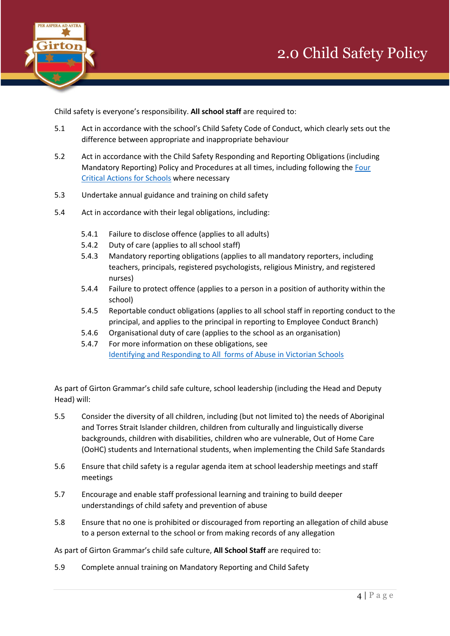

Child safety is everyone's responsibility. **All school staff** are required to:

- 5.1 Act in accordance with the school's Child Safety Code of Conduct, which clearly sets out the difference between appropriate and inappropriate behaviour
- 5.2 Act in accordance with the Child Safety Responding and Reporting Obligations (including Mandatory Reporting) Policy and Procedures at all times, including following th[e Four](https://astra.girton.vic.edu.au/send.php?id=167804)  [Critical Actions for Schools](https://astra.girton.vic.edu.au/send.php?id=167804) where necessary
- 5.3 Undertake annual guidance and training on child safety
- 5.4 Act in accordance with their legal obligations, including:
	- 5.4.1 Failure to disclose offence (applies to all adults)
	- 5.4.2 Duty of care (applies to all school staff)
	- 5.4.3 Mandatory reporting obligations (applies to all mandatory reporters, including teachers, principals, registered psychologists, religious Ministry, and registered nurses)
	- 5.4.4 Failure to protect offence (applies to a person in a position of authority within the school)
	- 5.4.5 Reportable conduct obligations (applies to all school staff in reporting conduct to the principal, and applies to the principal in reporting to Employee Conduct Branch)
	- 5.4.6 Organisational duty of care (applies to the school as an organisation)
	- 5.4.7 For more information on these obligations, see [Identifying and Responding to All forms of Abuse in Victorian Schools](https://astra.girton.vic.edu.au/send.php?id=167805)

As part of Girton Grammar's child safe culture, school leadership (including the Head and Deputy Head) will:

- 5.5 Consider the diversity of all children, including (but not limited to) the needs of Aboriginal and Torres Strait Islander children, children from culturally and linguistically diverse backgrounds, children with disabilities, children who are vulnerable, Out of Home Care (OoHC) students and International students, when implementing the Child Safe Standards
- 5.6 Ensure that child safety is a regular agenda item at school leadership meetings and staff meetings
- 5.7 Encourage and enable staff professional learning and training to build deeper understandings of child safety and prevention of abuse
- 5.8 Ensure that no one is prohibited or discouraged from reporting an allegation of child abuse to a person external to the school or from making records of any allegation

As part of Girton Grammar's child safe culture, **All School Staff** are required to:

5.9 Complete annual training on Mandatory Reporting and Child Safety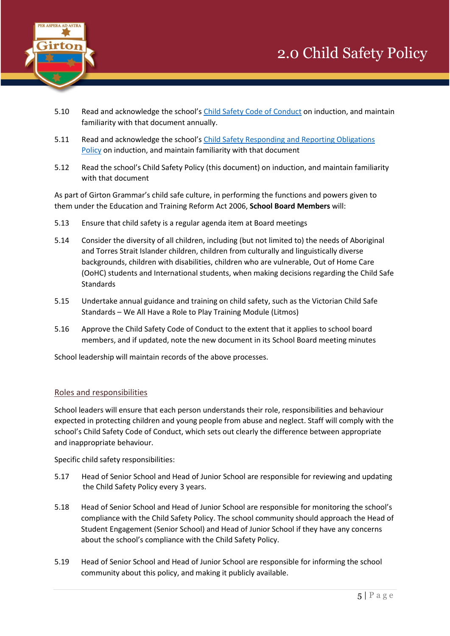

- 5.10 Read and acknowledge the school's [Child Safety Code of Conduct](https://astra.girton.vic.edu.au/send.php?id=115896) on induction, and maintain familiarity with that document annually.
- 5.11 Read and acknowledge the school's [Child Safety Responding and Reporting Obligations](https://astra.girton.vic.edu.au/send.php?id=171648) [Policy](https://astra.girton.vic.edu.au/send.php?id=171648) on induction, and maintain familiarity with that document
- 5.12 Read the school's Child Safety Policy (this document) on induction, and maintain familiarity with that document

As part of Girton Grammar's child safe culture, in performing the functions and powers given to them under the Education and Training Reform Act 2006, **School Board Members** will:

- 5.13 Ensure that child safety is a regular agenda item at Board meetings
- 5.14 Consider the diversity of all children, including (but not limited to) the needs of Aboriginal and Torres Strait Islander children, children from culturally and linguistically diverse backgrounds, children with disabilities, children who are vulnerable, Out of Home Care (OoHC) students and International students, when making decisions regarding the Child Safe Standards
- 5.15 Undertake annual guidance and training on child safety, such as the Victorian Child Safe Standards – We All Have a Role to Play Training Module (Litmos)
- 5.16 Approve the Child Safety Code of Conduct to the extent that it applies to school board members, and if updated, note the new document in its School Board meeting minutes

School leadership will maintain records of the above processes.

### Roles and responsibilities

School leaders will ensure that each person understands their role, responsibilities and behaviour expected in protecting children and young people from abuse and neglect. Staff will comply with the school's Child Safety Code of Conduct, which sets out clearly the difference between appropriate and inappropriate behaviour.

Specific child safety responsibilities:

- 5.17 Head of Senior School and Head of Junior School are responsible for reviewing and updating the Child Safety Policy every 3 years.
- 5.18 Head of Senior School and Head of Junior School are responsible for monitoring the school's compliance with the Child Safety Policy. The school community should approach the Head of Student Engagement (Senior School) and Head of Junior School if they have any concerns about the school's compliance with the Child Safety Policy.
- 5.19 Head of Senior School and Head of Junior School are responsible for informing the school community about this policy, and making it publicly available.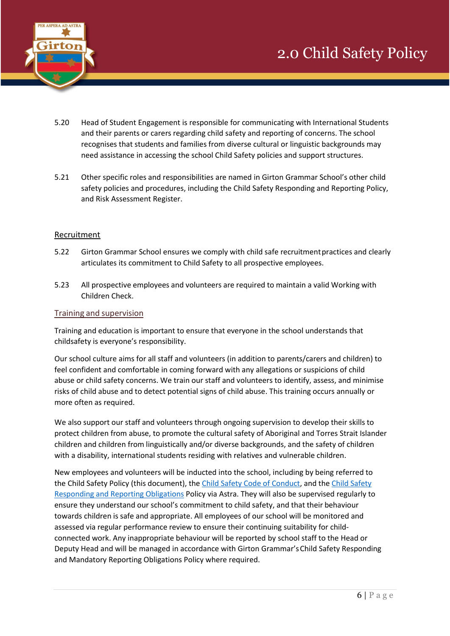

- 5.20 Head of Student Engagement is responsible for communicating with International Students and their parents or carers regarding child safety and reporting of concerns. The school recognises that students and families from diverse cultural or linguistic backgrounds may need assistance in accessing the school Child Safety policies and support structures.
- 5.21 Other specific roles and responsibilities are named in Girton Grammar School's other child safety policies and procedures, including the Child Safety Responding and Reporting Policy, and Risk Assessment Register.

### Recruitment

- 5.22 Girton Grammar School ensures we comply with child safe recruitment practices and clearly articulates its commitment to Child Safety to all prospective employees.
- 5.23 All prospective employees and volunteers are required to maintain a valid Working with Children Check.

#### Training and supervision

Training and education is important to ensure that everyone in the school understands that childsafety is everyone's responsibility.

Our school culture aims for all staff and volunteers (in addition to parents/carers and children) to feel confident and comfortable in coming forward with any allegations or suspicions of child abuse or child safety concerns. We train our staff and volunteers to identify, assess, and minimise risks of child abuse and to detect potential signs of child abuse. This training occurs annually or more often as required.

We also support our staff and volunteers through ongoing supervision to develop their skills to protect children from abuse, to promote the cultural safety of Aboriginal and Torres Strait Islander children and children from linguistically and/or diverse backgrounds, and the safety of children with a disability, international students residing with relatives and vulnerable children.

New employees and volunteers will be inducted into the school, including by being referred to the Child Safety Policy (this document), the [Child Safety Code of Conduct,](https://astra.girton.vic.edu.au/send.php?id=115896) and the [Child Safety](https://astra.girton.vic.edu.au/send.php?id=171648) Responding and [Reporting Obligations](https://astra.girton.vic.edu.au/send.php?id=171648) Policy via Astra. They will also be supervised regularly to ensure they understand our school's commitment to child safety, and that their behaviour towards children is safe and appropriate. All employees of our school will be monitored and assessed via regular performance review to ensure their continuing suitability for childconnected work. Any inappropriate behaviour will be reported by school staff to the Head or Deputy Head and will be managed in accordance with Girton Grammar's Child Safety Responding and Mandatory Reporting Obligations Policy where required.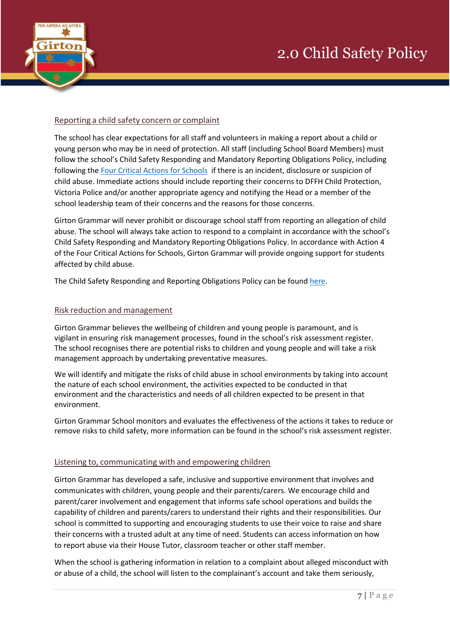

#### Reporting a child safety concern or complaint

The school has clear expectations for all staff and volunteers in making a report about a child or young person who may be in need of protection. All staff (including School Board Members) must follow the school's Child Safety Responding and Mandatory Reporting Obligations Policy, including following the [Four Critical Actions for Schools](https://astra.girton.vic.edu.au/send.php?id=167804) if there is an incident, disclosure or suspicion of child abuse. Immediate actions should include reporting their concerns to DFFH Child Protection, Victoria Police and/or another appropriate agency and notifying the Head or a member of the school leadership team of their concerns and the reasons for those concerns.

Girton Grammar will never prohibit or discourage school staff from reporting an allegation of child abuse. The school will always take action to respond to a complaint in accordance with the school's Child Safety Responding and Mandatory Reporting Obligations Policy. In accordance with Action 4 of the Four Critical Actions for Schools, Girton Grammar will provide ongoing support for students affected by child abuse.

The Child Safety Responding and Reporting Obligations Policy can be found [here.](https://astra.girton.vic.edu.au/send.php?id=171648)

#### Risk reduction and management

Girton Grammar believes the wellbeing of children and young people is paramount, and is vigilant in ensuring risk management processes, found in the school's risk assessment register. The school recognises there are potential risks to children and young people and will take a risk management approach by undertaking preventative measures.

We will identify and mitigate the risks of child abuse in school environments by taking into account the nature of each school environment, the activities expected to be conducted in that environment and the characteristics and needs of all children expected to be present in that environment.

Girton Grammar School monitors and evaluates the effectiveness of the actions it takes to reduce or remove risks to child safety, more information can be found in the school's risk assessment register.

#### Listening to, communicating with and empowering children

Girton Grammar has developed a safe, inclusive and supportive environment that involves and communicates with children, young people and their parents/carers. We encourage child and parent/carer involvement and engagement that informs safe school operations and builds the capability of children and parents/carers to understand their rights and their responsibilities. Our school is committed to supporting and encouraging students to use their voice to raise and share their concerns with a trusted adult at any time of need. Students can access information on how to report abuse via their House Tutor, classroom teacher or other staff member.

When the school is gathering information in relation to a complaint about alleged misconduct with or abuse of a child, the school will listen to the complainant's account and take them seriously,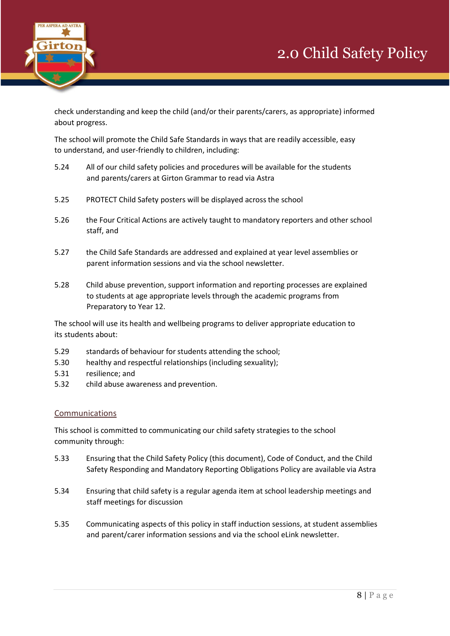



check understanding and keep the child (and/or their parents/carers, as appropriate) informed about progress.

The school will promote the Child Safe Standards in ways that are readily accessible, easy to understand, and user-friendly to children, including:

- 5.24 All of our child safety policies and procedures will be available for the students and parents/carers at Girton Grammar to read via Astra
- 5.25 PROTECT Child Safety posters will be displayed across the school
- 5.26 the Four Critical Actions are actively taught to mandatory reporters and other school staff, and
- 5.27 the Child Safe Standards are addressed and explained at year level assemblies or parent information sessions and via the school newsletter.
- 5.28 Child abuse prevention, support information and reporting processes are explained to students at age appropriate levels through the academic programs from Preparatory to Year 12.

The school will use its health and wellbeing programs to deliver appropriate education to its students about:

- 5.29 standards of behaviour for students attending the school;
- 5.30 healthy and respectful relationships (including sexuality);
- 5.31 resilience; and
- 5.32 child abuse awareness and prevention.

### Communications

This school is committed to communicating our child safety strategies to the school community through:

- 5.33 Ensuring that the Child Safety Policy (this document), Code of Conduct, and the Child Safety Responding and Mandatory Reporting Obligations Policy are available via Astra
- 5.34 Ensuring that child safety is a regular agenda item at school leadership meetings and staff meetings for discussion
- 5.35 Communicating aspects of this policy in staff induction sessions, at student assemblies and parent/carer information sessions and via the school eLink newsletter.